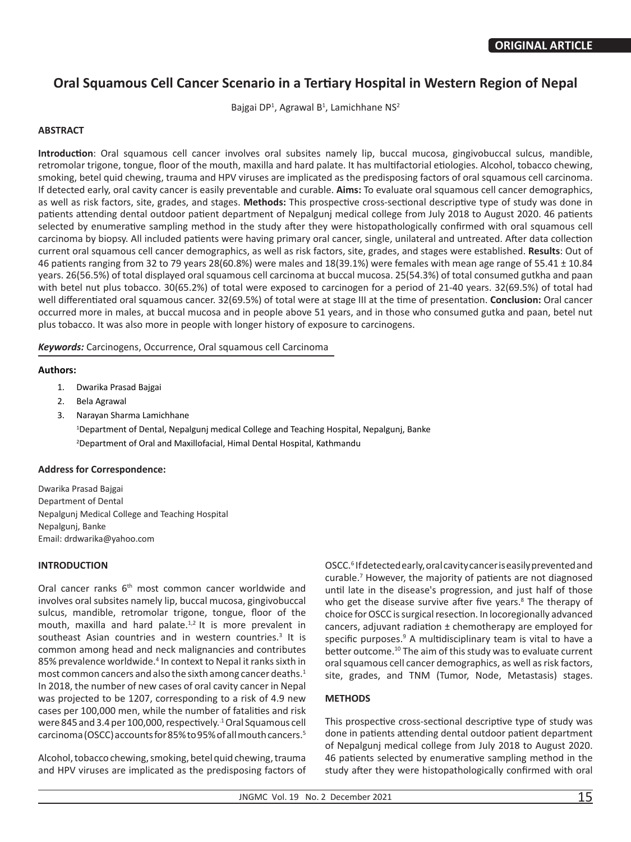# **Oral Squamous Cell Cancer Scenario in a Tertiary Hospital in Western Region of Nepal**

Bajgai DP<sup>1</sup>, Agrawal B<sup>1</sup>, Lamichhane NS<sup>2</sup>

## **ABSTRACT**

**Introduction**: Oral squamous cell cancer involves oral subsites namely lip, buccal mucosa, gingivobuccal sulcus, mandible, retromolar trigone, tongue, floor of the mouth, maxilla and hard palate. It has multifactorial etiologies. Alcohol, tobacco chewing, smoking, betel quid chewing, trauma and HPV viruses are implicated as the predisposing factors of oral squamous cell carcinoma. If detected early, oral cavity cancer is easily preventable and curable. **Aims:** To evaluate oral squamous cell cancer demographics, as well as risk factors, site, grades, and stages. **Methods:** This prospective cross-sectional descriptive type of study was done in patients attending dental outdoor patient department of Nepalgunj medical college from July 2018 to August 2020. 46 patients selected by enumerative sampling method in the study after they were histopathologically confirmed with oral squamous cell carcinoma by biopsy. All included patients were having primary oral cancer, single, unilateral and untreated. After data collection current oral squamous cell cancer demographics, as well as risk factors, site, grades, and stages were established. **Results**: Out of 46 patients ranging from 32 to 79 years 28(60.8%) were males and 18(39.1%) were females with mean age range of 55.41 ± 10.84 years. 26(56.5%) of total displayed oral squamous cell carcinoma at buccal mucosa. 25(54.3%) of total consumed gutkha and paan with betel nut plus tobacco. 30(65.2%) of total were exposed to carcinogen for a period of 21-40 years. 32(69.5%) of total had well differentiated oral squamous cancer. 32(69.5%) of total were at stage III at the time of presentation. **Conclusion:** Oral cancer occurred more in males, at buccal mucosa and in people above 51 years, and in those who consumed gutka and paan, betel nut plus tobacco. It was also more in people with longer history of exposure to carcinogens.

*Keywords:* Carcinogens, Occurrence, Oral squamous cell Carcinoma

#### **Authors:**

- 1. Dwarika Prasad Bajgai
- 2. Bela Agrawal
- 3. Narayan Sharma Lamichhane 1 Department of Dental, Nepalgunj medical College and Teaching Hospital, Nepalgunj, Banke 2 Department of Oral and Maxillofacial, Himal Dental Hospital, Kathmandu

#### **Address for Correspondence:**

Dwarika Prasad Bajgai Department of Dental Nepalgunj Medical College and Teaching Hospital Nepalgunj, Banke Email: drdwarika@yahoo.com

#### **INTRODUCTION**

Oral cancer ranks 6<sup>th</sup> most common cancer worldwide and involves oral subsites namely lip, buccal mucosa, gingivobuccal sulcus, mandible, retromolar trigone, tongue, floor of the mouth, maxilla and hard palate.<sup>1,2</sup> It is more prevalent in southeast Asian countries and in western countries.<sup>3</sup> It is common among head and neck malignancies and contributes 85% prevalence worldwide.<sup>4</sup> In context to Nepal it ranks sixth in most common cancers and also the sixth among cancer deaths.<sup>1</sup> In 2018, the number of new cases of oral cavity cancer in Nepal was projected to be 1207, corresponding to a risk of 4.9 new cases per 100,000 men, while the number of fatalities and risk were 845 and 3.4 per 100,000, respectively..1 Oral Squamous cell carcinoma (OSCC) accounts for 85% to 95% of all mouth cancers.<sup>5</sup>

Alcohol, tobacco chewing, smoking, betel quid chewing, trauma and HPV viruses are implicated as the predisposing factors of OSCC.<sup>6</sup> If detected early, oral cavity cancer is easily prevented and curable.<sup>7</sup> However, the majority of patients are not diagnosed until late in the disease's progression, and just half of those who get the disease survive after five years.<sup>8</sup> The therapy of choice for OSCC is surgical resection. In locoregionally advanced cancers, adjuvant radiation ± chemotherapy are employed for specific purposes.<sup>9</sup> A multidisciplinary team is vital to have a better outcome.<sup>10</sup> The aim of this study was to evaluate current oral squamous cell cancer demographics, as well as risk factors, site, grades, and TNM (Tumor, Node, Metastasis) stages.

## **METHODS**

This prospective cross-sectional descriptive type of study was done in patients attending dental outdoor patient department of Nepalgunj medical college from July 2018 to August 2020. 46 patients selected by enumerative sampling method in the study after they were histopathologically confirmed with oral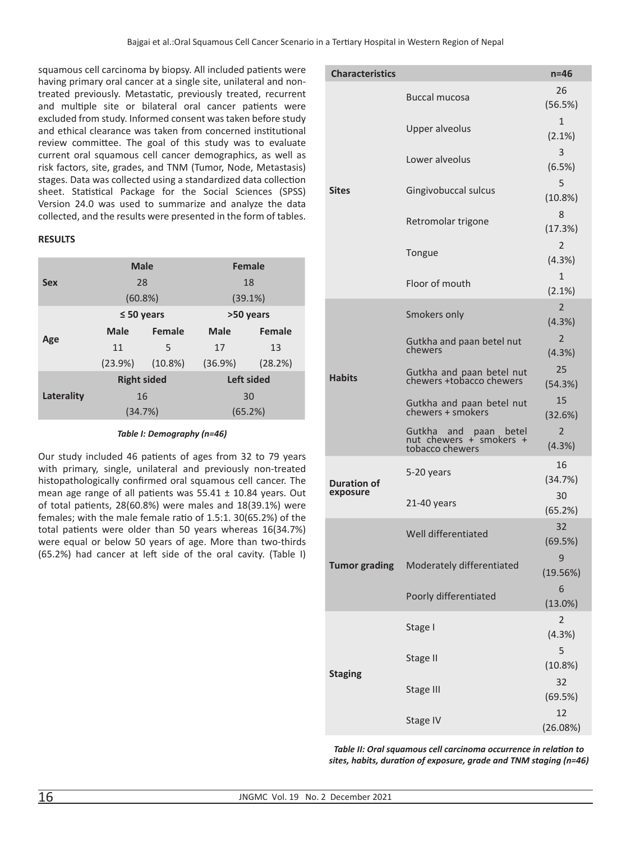squamous cell carcinoma by biopsy. All included patients were having primary oral cancer at a single site, unilateral and nontreated previously. Metastatic, previously treated, recurrent and multiple site or bilateral oral cancer patients were excluded from study. Informed consent was taken before study and ethical clearance was taken from concerned institutional review committee. The goal of this study was to evaluate current oral squamous cell cancer demographics, as well as risk factors, site, grades, and TNM (Tumor, Node, Metastasis) stages. Data was collected using a standardized data collection sheet. Statistical Package for the Social Sciences (SPSS) Version 24.0 was used to summarize and analyze the data collected, and the results were presented in the form of tables.

# **RESULTS**

|            | <b>Male</b>        |            | <b>Female</b>     |               |
|------------|--------------------|------------|-------------------|---------------|
| <b>Sex</b> | 28                 |            | 18                |               |
|            | (60.8%)            |            | (39.1%)           |               |
| Age        | $\leq 50$ years    |            | >50 years         |               |
|            | <b>Male</b>        | Female     | <b>Male</b>       | <b>Female</b> |
|            | 11                 | 5          | 17                | 13            |
|            | $(23.9\%)$         | $(10.8\%)$ | (36.9%)           | (28.2%)       |
| Laterality | <b>Right sided</b> |            | <b>Left sided</b> |               |
|            | 16                 |            | 30                |               |
|            | (34.7%)            |            | (65.2%)           |               |

#### *Table I: Demography (n=46)*

Our study included 46 patients of ages from 32 to 79 years with primary, single, unilateral and previously non-treated histopathologically confirmed oral squamous cell cancer. The mean age range of all patients was  $55.41 \pm 10.84$  years. Out of total patients, 28(60.8%) were males and 18(39.1%) were females; with the male female ratio of 1.5:1. 30(65.2%) of the total patients were older than 50 years whereas 16(34.7%) were equal or below 50 years of age. More than two-thirds (65.2%) had cancer at left side of the oral cavity. (Table I)

| <b>Characteristics</b> |                                                                     | $n=46$                    |
|------------------------|---------------------------------------------------------------------|---------------------------|
|                        | Buccal mucosa                                                       | 26<br>(56.5%)             |
|                        | <b>Upper alveolus</b>                                               | $\mathbf{1}$<br>$(2.1\%)$ |
|                        | Lower alveolus                                                      | 3<br>(6.5%)               |
| <b>Sites</b>           | Gingivobuccal sulcus                                                | 5<br>(10.8%)              |
|                        | Retromolar trigone                                                  | 8<br>(17.3%)              |
|                        | Tongue                                                              | $\overline{2}$<br>(4.3%)  |
|                        | Floor of mouth                                                      | $\mathbf{1}$<br>(2.1%)    |
|                        | Smokers only                                                        | $\overline{2}$<br>(4.3%)  |
|                        | Gutkha and paan betel nut<br>chewers                                | $\overline{2}$<br>(4.3%)  |
| <b>Habits</b>          | Gutkha and paan betel nut<br>chewers +tobacco chewers               | 25<br>(54.3%)             |
|                        | Gutkha and paan betel nut<br>chewers + smokers                      | 15<br>(32.6%)             |
|                        | Gutkha and paan betel<br>nut chewers + smokers +<br>tobacco chewers | 2<br>(4.3%)               |
| <b>Duration of</b>     | 5-20 years                                                          | 16<br>(34.7%)             |
| exposure               | 21-40 years                                                         | 30<br>(65.2%)             |
|                        | Well differentiated                                                 | 32<br>(69.5%)             |
| <b>Tumor grading</b>   | Moderately differentiated                                           | 9<br>(19.56%)             |
|                        | Poorly differentiated                                               | 6<br>$(13.0\%)$           |
|                        | Stage I                                                             | $\overline{2}$<br>(4.3%)  |
| <b>Staging</b>         | Stage II                                                            | 5<br>(10.8%)              |
|                        | Stage III                                                           | 32<br>(69.5%)             |
|                        | Stage IV                                                            | 12<br>(26.08%)            |

*Table II: Oral squamous cell carcinoma occurrence in relation to sites, habits, duration of exposure, grade and TNM staging (n=46)*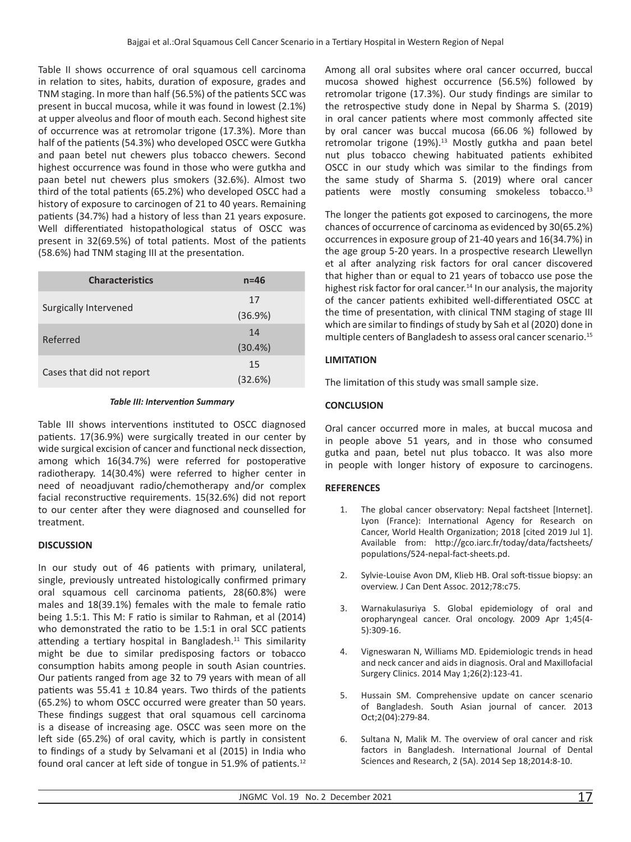Table II shows occurrence of oral squamous cell carcinoma in relation to sites, habits, duration of exposure, grades and TNM staging. In more than half (56.5%) of the patients SCC was present in buccal mucosa, while it was found in lowest (2.1%) at upper alveolus and floor of mouth each. Second highest site of occurrence was at retromolar trigone (17.3%). More than half of the patients (54.3%) who developed OSCC were Gutkha and paan betel nut chewers plus tobacco chewers. Second highest occurrence was found in those who were gutkha and paan betel nut chewers plus smokers (32.6%). Almost two third of the total patients (65.2%) who developed OSCC had a history of exposure to carcinogen of 21 to 40 years. Remaining patients (34.7%) had a history of less than 21 years exposure. Well differentiated histopathological status of OSCC was present in 32(69.5%) of total patients. Most of the patients (58.6%) had TNM staging III at the presentation.

| <b>Characteristics</b>    | $n = 46$   |
|---------------------------|------------|
| Surgically Intervened     | 17         |
|                           | (36.9%)    |
| Referred                  | 14         |
|                           | $(30.4\%)$ |
|                           | 15         |
| Cases that did not report | (32.6%)    |

### *Table III: Intervention Summary*

Table III shows interventions instituted to OSCC diagnosed patients. 17(36.9%) were surgically treated in our center by wide surgical excision of cancer and functional neck dissection, among which 16(34.7%) were referred for postoperative radiotherapy. 14(30.4%) were referred to higher center in need of neoadjuvant radio/chemotherapy and/or complex facial reconstructive requirements. 15(32.6%) did not report to our center after they were diagnosed and counselled for treatment.

# **DISCUSSION**

In our study out of 46 patients with primary, unilateral, single, previously untreated histologically confirmed primary oral squamous cell carcinoma patients, 28(60.8%) were males and 18(39.1%) females with the male to female ratio being 1.5:1. This M: F ratio is similar to Rahman, et al (2014) who demonstrated the ratio to be 1.5:1 in oral SCC patients attending a tertiary hospital in Bangladesh. $11$  This similarity might be due to similar predisposing factors or tobacco consumption habits among people in south Asian countries. Our patients ranged from age 32 to 79 years with mean of all patients was  $55.41 \pm 10.84$  years. Two thirds of the patients (65.2%) to whom OSCC occurred were greater than 50 years. These findings suggest that oral squamous cell carcinoma is a disease of increasing age. OSCC was seen more on the left side (65.2%) of oral cavity, which is partly in consistent to findings of a study by Selvamani et al (2015) in India who found oral cancer at left side of tongue in 51.9% of patients.<sup>12</sup>

Among all oral subsites where oral cancer occurred, buccal mucosa showed highest occurrence (56.5%) followed by retromolar trigone (17.3%). Our study findings are similar to the retrospective study done in Nepal by Sharma S. (2019) in oral cancer patients where most commonly affected site by oral cancer was buccal mucosa (66.06 %) followed by retromolar trigone  $(19\%)$ .<sup>13</sup> Mostly gutkha and paan betel nut plus tobacco chewing habituated patients exhibited OSCC in our study which was similar to the findings from the same study of Sharma S. (2019) where oral cancer patients were mostly consuming smokeless tobacco.<sup>13</sup>

The longer the patients got exposed to carcinogens, the more chances of occurrence of carcinoma as evidenced by 30(65.2%) occurrences in exposure group of 21-40 years and 16(34.7%) in the age group 5-20 years. In a prospective research Llewellyn et al after analyzing risk factors for oral cancer discovered that higher than or equal to 21 years of tobacco use pose the highest risk factor for oral cancer.<sup>14</sup> In our analysis, the majority of the cancer patients exhibited well-differentiated OSCC at the time of presentation, with clinical TNM staging of stage III which are similar to findings of study by Sah et al (2020) done in multiple centers of Bangladesh to assess oral cancer scenario.<sup>15</sup>

# **LIMITATION**

The limitation of this study was small sample size.

# **CONCLUSION**

Oral cancer occurred more in males, at buccal mucosa and in people above 51 years, and in those who consumed gutka and paan, betel nut plus tobacco. It was also more in people with longer history of exposure to carcinogens.

## **REFERENCES**

- 1. The global cancer observatory: Nepal factsheet [Internet]. Lyon (France): International Agency for Research on Cancer, World Health Organization; 2018 [cited 2019 Jul 1]. Available from: http://gco.iarc.fr/today/data/factsheets/ populations/524-nepal-fact-sheets.pd.
- 2. Sylvie-Louise Avon DM, Klieb HB. Oral soft-tissue biopsy: an overview. J Can Dent Assoc. 2012;78:c75.
- 3. Warnakulasuriya S. Global epidemiology of oral and oropharyngeal cancer. Oral oncology. 2009 Apr 1;45(4- 5):309-16.
- 4. Vigneswaran N, Williams MD. Epidemiologic trends in head and neck cancer and aids in diagnosis. Oral and Maxillofacial Surgery Clinics. 2014 May 1;26(2):123-41.
- 5. Hussain SM. Comprehensive update on cancer scenario of Bangladesh. South Asian journal of cancer. 2013 Oct;2(04):279-84.
- 6. Sultana N, Malik M. The overview of oral cancer and risk factors in Bangladesh. International Journal of Dental Sciences and Research, 2 (5A). 2014 Sep 18;2014:8-10.